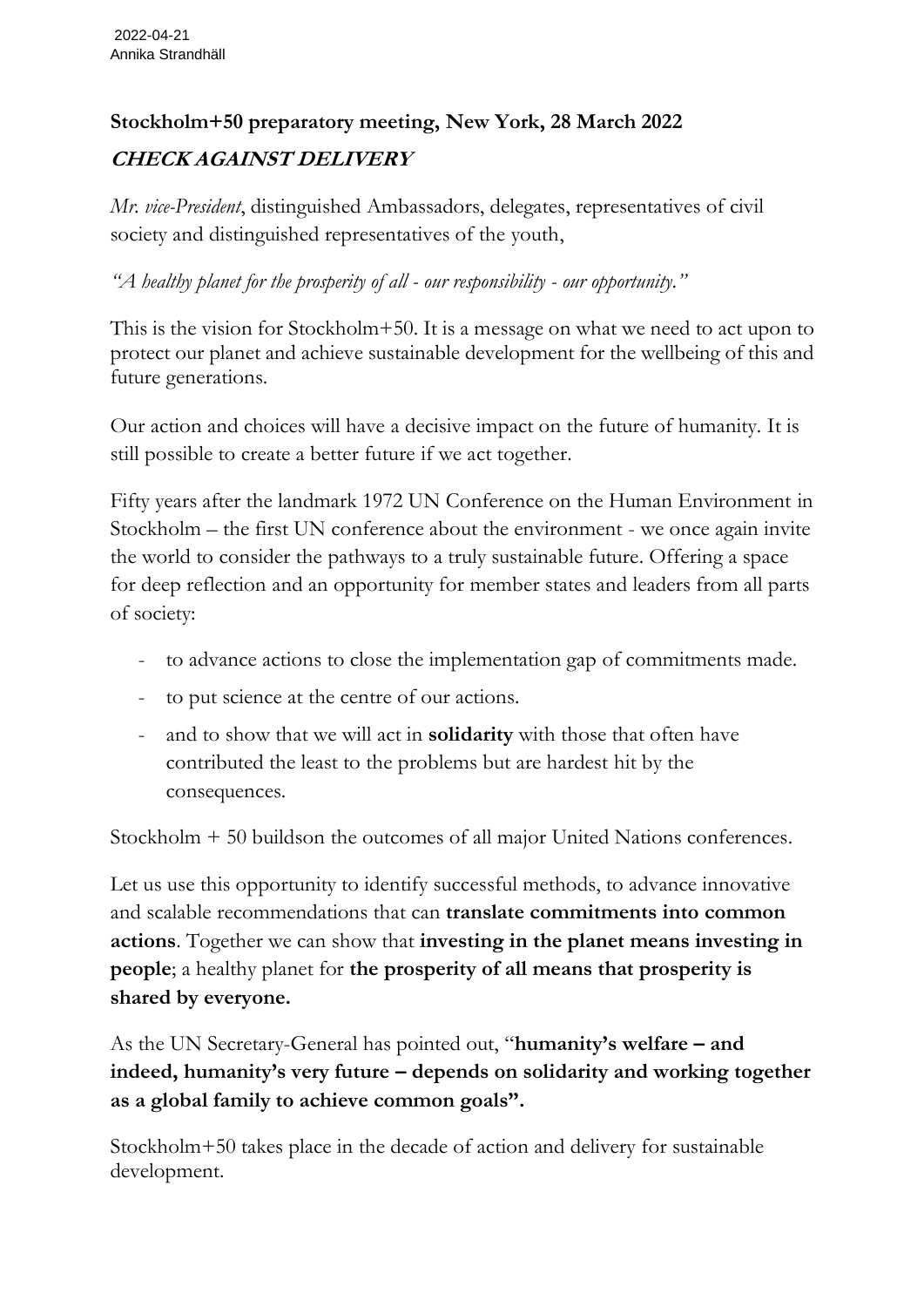## **Stockholm+50 preparatory meeting, New York, 28 March 2022 CHECK AGAINST DELIVERY**

*Mr. vice-President*, distinguished Ambassadors, delegates, representatives of civil society and distinguished representatives of the youth,

*"A healthy planet for the prosperity of all - our responsibility - our opportunity."*

This is the vision for Stockholm+50. It is a message on what we need to act upon to protect our planet and achieve sustainable development for the wellbeing of this and future generations.

Our action and choices will have a decisive impact on the future of humanity. It is still possible to create a better future if we act together.

Fifty years after the landmark 1972 UN Conference on the Human Environment in Stockholm – the first UN conference about the environment - we once again invite the world to consider the pathways to a truly sustainable future. Offering a space for deep reflection and an opportunity for member states and leaders from all parts of society:

- to advance actions to close the implementation gap of commitments made.
- to put science at the centre of our actions.
- and to show that we will act in **solidarity** with those that often have contributed the least to the problems but are hardest hit by the consequences.

Stockholm + 50 buildson the outcomes of all major United Nations conferences.

Let us use this opportunity to identify successful methods, to advance innovative and scalable recommendations that can **translate commitments into common actions**. Together we can show that **investing in the planet means investing in people**; a healthy planet for **the prosperity of all means that prosperity is shared by everyone.**

As the UN Secretary-General has pointed out, "**humanity's welfare – and indeed, humanity's very future – depends on solidarity and working together as a global family to achieve common goals".**

Stockholm+50 takes place in the decade of action and delivery for sustainable development.